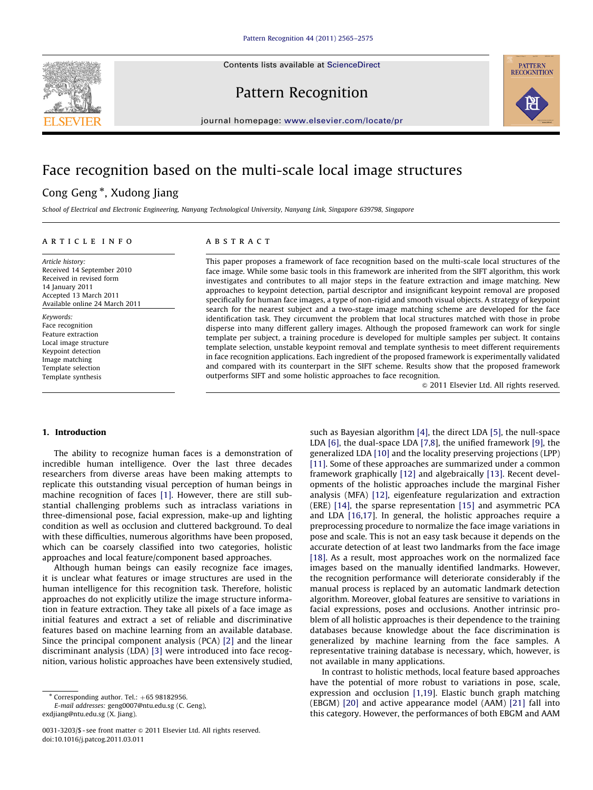Contents lists available at ScienceDirect



Pattern Recognition



journal homepage: <www.elsevier.com/locate/pr>

# Face recognition based on the multi-scale local image structures

# Cong Geng<sup>\*</sup>, Xudong Jiang

School of Electrical and Electronic Engineering, Nanyang Technological University, Nanyang Link, Singapore 639798, Singapore

#### article info

Article history: Received 14 September 2010 Received in revised form 14 January 2011 Accepted 13 March 2011 Available online 24 March 2011

Keywords: Face recognition Feature extraction Local image structure Keypoint detection Image matching Template selection Template synthesis

# **ABSTRACT**

This paper proposes a framework of face recognition based on the multi-scale local structures of the face image. While some basic tools in this framework are inherited from the SIFT algorithm, this work investigates and contributes to all major steps in the feature extraction and image matching. New approaches to keypoint detection, partial descriptor and insignificant keypoint removal are proposed specifically for human face images, a type of non-rigid and smooth visual objects. A strategy of keypoint search for the nearest subject and a two-stage image matching scheme are developed for the face identification task. They circumvent the problem that local structures matched with those in probe disperse into many different gallery images. Although the proposed framework can work for single template per subject, a training procedure is developed for multiple samples per subject. It contains template selection, unstable keypoint removal and template synthesis to meet different requirements in face recognition applications. Each ingredient of the proposed framework is experimentally validated and compared with its counterpart in the SIFT scheme. Results show that the proposed framework outperforms SIFT and some holistic approaches to face recognition.

 $\odot$  2011 Elsevier Ltd. All rights reserved.

## 1. Introduction

The ability to recognize human faces is a demonstration of incredible human intelligence. Over the last three decades researchers from diverse areas have been making attempts to replicate this outstanding visual perception of human beings in machine recognition of faces [\[1\]](#page-9-0). However, there are still substantial challenging problems such as intraclass variations in three-dimensional pose, facial expression, make-up and lighting condition as well as occlusion and cluttered background. To deal with these difficulties, numerous algorithms have been proposed, which can be coarsely classified into two categories, holistic approaches and local feature/component based approaches.

Although human beings can easily recognize face images, it is unclear what features or image structures are used in the human intelligence for this recognition task. Therefore, holistic approaches do not explicitly utilize the image structure information in feature extraction. They take all pixels of a face image as initial features and extract a set of reliable and discriminative features based on machine learning from an available database. Since the principal component analysis (PCA) [\[2\]](#page-9-0) and the linear discriminant analysis (LDA) [\[3\]](#page-9-0) were introduced into face recognition, various holistic approaches have been extensively studied, such as Bayesian algorithm [\[4\],](#page-9-0) the direct LDA [\[5\]](#page-9-0), the null-space LDA [\[6\],](#page-9-0) the dual-space LDA [\[7,8](#page-9-0)], the unified framework [\[9\]](#page-9-0), the generalized LDA [\[10\]](#page-9-0) and the locality preserving projections (LPP) [\[11\]](#page-9-0). Some of these approaches are summarized under a common framework graphically [\[12\]](#page-9-0) and algebraically [\[13\].](#page-9-0) Recent developments of the holistic approaches include the marginal Fisher analysis (MFA) [\[12\],](#page-9-0) eigenfeature regularization and extraction (ERE) [\[14\]](#page-9-0), the sparse representation [\[15\]](#page-9-0) and asymmetric PCA and LDA [\[16,17](#page-9-0)]. In general, the holistic approaches require a preprocessing procedure to normalize the face image variations in pose and scale. This is not an easy task because it depends on the accurate detection of at least two landmarks from the face image [\[18\]](#page-9-0). As a result, most approaches work on the normalized face images based on the manually identified landmarks. However, the recognition performance will deteriorate considerably if the manual process is replaced by an automatic landmark detection algorithm. Moreover, global features are sensitive to variations in facial expressions, poses and occlusions. Another intrinsic problem of all holistic approaches is their dependence to the training databases because knowledge about the face discrimination is generalized by machine learning from the face samples. A representative training database is necessary, which, however, is not available in many applications.

In contrast to holistic methods, local feature based approaches have the potential of more robust to variations in pose, scale, expression and occlusion [\[1,19](#page-9-0)]. Elastic bunch graph matching (EBGM) [\[20\]](#page-10-0) and active appearance model (AAM) [\[21\]](#page-10-0) fall into this category. However, the performances of both EBGM and AAM

 $*$  Corresponding author. Tel.:  $+65$  98182956.

E-mail addresses: [geng0007@ntu.edu.sg \(C. Geng\),](mailto:geng0007@ntu.edu.sg) [exdjiang@ntu.edu.sg \(X. Jiang\).](mailto:exdjiang@ntu.edu.sg)

<sup>0031-3203/\$ -</sup> see front matter @ 2011 Elsevier Ltd. All rights reserved. doi:[10.1016/j.patcog.2011.03.011](dx.doi.org/10.1016/j.patcog.2011.03.011)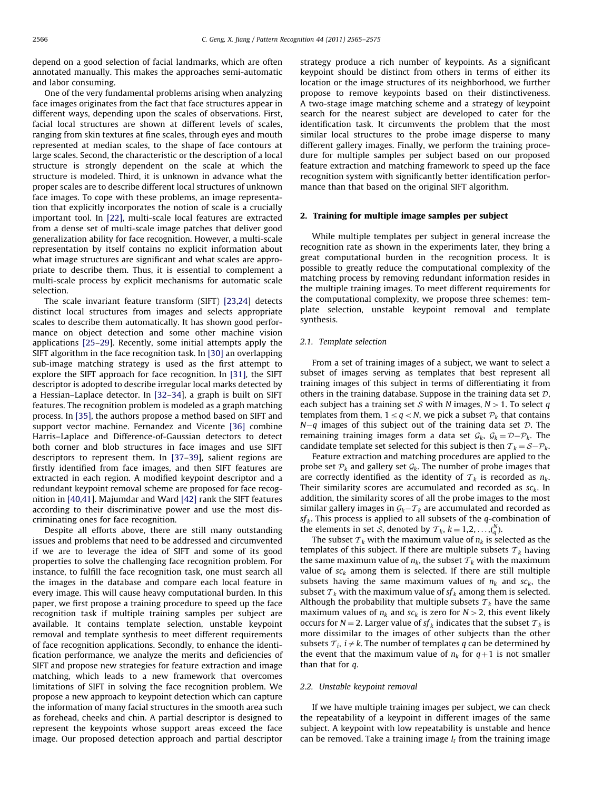depend on a good selection of facial landmarks, which are often annotated manually. This makes the approaches semi-automatic and labor consuming.

One of the very fundamental problems arising when analyzing face images originates from the fact that face structures appear in different ways, depending upon the scales of observations. First, facial local structures are shown at different levels of scales, ranging from skin textures at fine scales, through eyes and mouth represented at median scales, to the shape of face contours at large scales. Second, the characteristic or the description of a local structure is strongly dependent on the scale at which the structure is modeled. Third, it is unknown in advance what the proper scales are to describe different local structures of unknown face images. To cope with these problems, an image representation that explicitly incorporates the notion of scale is a crucially important tool. In [\[22\]](#page-10-0), multi-scale local features are extracted from a dense set of multi-scale image patches that deliver good generalization ability for face recognition. However, a multi-scale representation by itself contains no explicit information about what image structures are significant and what scales are appropriate to describe them. Thus, it is essential to complement a multi-scale process by explicit mechanisms for automatic scale selection.

The scale invariant feature transform (SIFT) [\[23,24](#page-10-0)] detects distinct local structures from images and selects appropriate scales to describe them automatically. It has shown good performance on object detection and some other machine vision applications [\[25–29](#page-10-0)]. Recently, some initial attempts apply the SIFT algorithm in the face recognition task. In [\[30\]](#page-10-0) an overlapping sub-image matching strategy is used as the first attempt to explore the SIFT approach for face recognition. In [\[31\],](#page-10-0) the SIFT descriptor is adopted to describe irregular local marks detected by a Hessian–Laplace detector. In [\[32–34](#page-10-0)], a graph is built on SIFT features. The recognition problem is modeled as a graph matching process. In [\[35\],](#page-10-0) the authors propose a method based on SIFT and support vector machine. Fernandez and Vicente [\[36\]](#page-10-0) combine Harris–Laplace and Difference-of-Gaussian detectors to detect both corner and blob structures in face images and use SIFT descriptors to represent them. In [\[37–39](#page-10-0)], salient regions are firstly identified from face images, and then SIFT features are extracted in each region. A modified keypoint descriptor and a redundant keypoint removal scheme are proposed for face recognition in [\[40,41](#page-10-0)]. Majumdar and Ward [\[42\]](#page-10-0) rank the SIFT features according to their discriminative power and use the most discriminating ones for face recognition.

Despite all efforts above, there are still many outstanding issues and problems that need to be addressed and circumvented if we are to leverage the idea of SIFT and some of its good properties to solve the challenging face recognition problem. For instance, to fulfill the face recognition task, one must search all the images in the database and compare each local feature in every image. This will cause heavy computational burden. In this paper, we first propose a training procedure to speed up the face recognition task if multiple training samples per subject are available. It contains template selection, unstable keypoint removal and template synthesis to meet different requirements of face recognition applications. Secondly, to enhance the identification performance, we analyze the merits and deficiencies of SIFT and propose new strategies for feature extraction and image matching, which leads to a new framework that overcomes limitations of SIFT in solving the face recognition problem. We propose a new approach to keypoint detection which can capture the information of many facial structures in the smooth area such as forehead, cheeks and chin. A partial descriptor is designed to represent the keypoints whose support areas exceed the face image. Our proposed detection approach and partial descriptor strategy produce a rich number of keypoints. As a significant keypoint should be distinct from others in terms of either its location or the image structures of its neighborhood, we further propose to remove keypoints based on their distinctiveness. A two-stage image matching scheme and a strategy of keypoint search for the nearest subject are developed to cater for the identification task. It circumvents the problem that the most similar local structures to the probe image disperse to many different gallery images. Finally, we perform the training procedure for multiple samples per subject based on our proposed feature extraction and matching framework to speed up the face recognition system with significantly better identification performance than that based on the original SIFT algorithm.

### 2. Training for multiple image samples per subject

While multiple templates per subject in general increase the recognition rate as shown in the experiments later, they bring a great computational burden in the recognition process. It is possible to greatly reduce the computational complexity of the matching process by removing redundant information resides in the multiple training images. To meet different requirements for the computational complexity, we propose three schemes: template selection, unstable keypoint removal and template synthesis.

### 2.1. Template selection

From a set of training images of a subject, we want to select a subset of images serving as templates that best represent all training images of this subject in terms of differentiating it from others in the training database. Suppose in the training data set  $D$ , each subject has a training set S with N images,  $N>1$ . To select q templates from them,  $1 \leq q < N$ , we pick a subset  $P_k$  that contains  $N-q$  images of this subject out of the training data set  $\mathcal{D}$ . The remaining training images form a data set  $G_k$ ,  $G_k = \mathcal{D} - \mathcal{P}_k$ . The candidate template set selected for this subject is then  $T_k = S - \mathcal{P}_k$ .

Feature extraction and matching procedures are applied to the probe set  $P_k$  and gallery set  $G_k$ . The number of probe images that are correctly identified as the identity of  $T_k$  is recorded as  $n_k$ . Their similarity scores are accumulated and recorded as  $sc_k$ . In addition, the similarity scores of all the probe images to the most similar gallery images in  $\mathcal{G}_k - \mathcal{T}_k$  are accumulated and recorded as  $sf<sub>k</sub>$ . This process is applied to all subsets of the q-combination of the elements in set *S*, denoted by  $T_k$ ,  $k = 1, 2, ..., {N \choose q}$ .

The subset  $\mathcal{T}_k$  with the maximum value of  $n_k$  is selected as the templates of this subject. If there are multiple subsets  $\mathcal{T}_k$  having the same maximum value of  $n_k$ , the subset  $\mathcal{T}_k$  with the maximum value of  $sc_k$  among them is selected. If there are still multiple subsets having the same maximum values of  $n_k$  and  $sc_k$ , the subset  $T_k$  with the maximum value of  $sf_k$  among them is selected. Although the probability that multiple subsets  $\tau_k$  have the same maximum values of  $n_k$  and  $sc_k$  is zero for  $N>2$ , this event likely occurs for  $N = 2$ . Larger value of  $sf_k$  indicates that the subset  $\mathcal{T}_k$  is more dissimilar to the images of other subjects than the other subsets  $\mathcal{T}_i$ ,  $i \neq k$ . The number of templates q can be determined by the event that the maximum value of  $n_k$  for  $q+1$  is not smaller than that for  $q$ .

#### 2.2. Unstable keypoint removal

If we have multiple training images per subject, we can check the repeatability of a keypoint in different images of the same subject. A keypoint with low repeatability is unstable and hence can be removed. Take a training image  $I_t$  from the training image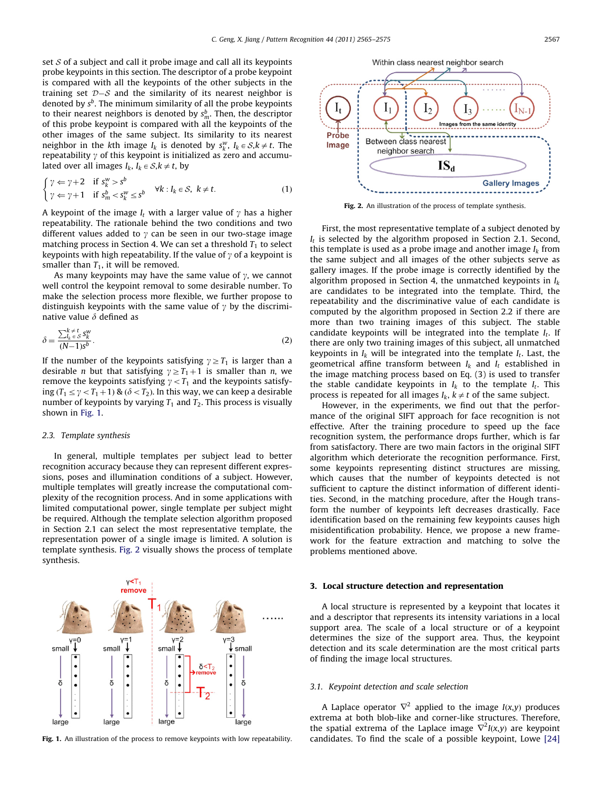set  $S$  of a subject and call it probe image and call all its keypoints probe keypoints in this section. The descriptor of a probe keypoint is compared with all the keypoints of the other subjects in the training set  ${\cal D}{-}{\cal S}$  and the similarity of its nearest neighbor is denoted by  $s^b$ . The minimum similarity of all the probe keypoints to their nearest neighbors is denoted by  $s^b_m$ . Then, the descriptor of this probe keypoint is compared with all the keypoints of the other images of the same subject. Its similarity to its nearest neighbor in the kth image  $I_k$  is denoted by  $s_k^w$ ,  $I_k \in S, k \neq t$ . The repeatability  $\gamma$  of this keypoint is initialized as zero and accumulated over all images  $I_k$ ,  $I_k \in S, k \neq t$ , by

$$
\begin{cases}\n\gamma \Leftarrow \gamma + 2 & \text{if } s_k^w > s^b \\
\gamma \Leftarrow \gamma + 1 & \text{if } s_m^b < s_k^w \le s^b\n\end{cases} \quad \forall k : I_k \in \mathcal{S}, \ k \neq t.
$$
\n(1)

A keypoint of the image  $I_t$  with a larger value of  $\gamma$  has a higher repeatability. The rationale behind the two conditions and two different values added to  $\gamma$  can be seen in our two-stage image matching process in Section 4. We can set a threshold  $T_1$  to select keypoints with high repeatability. If the value of  $\gamma$  of a keypoint is smaller than  $T_1$ , it will be removed.

As many keypoints may have the same value of  $\gamma$ , we cannot well control the keypoint removal to some desirable number. To make the selection process more flexible, we further propose to distinguish keypoints with the same value of  $\gamma$  by the discriminative value  $\delta$  defined as

$$
\delta = \frac{\sum_{l_k \in S}^{k \neq t} s_k^w}{(N-1)s^b}.
$$
\n(2)

If the number of the keypoints satisfying  $y \geq T_1$  is larger than a desirable *n* but that satisfying  $\gamma \geq T_1 + 1$  is smaller than *n*, we remove the keypoints satisfying  $\gamma < T_1$  and the keypoints satisfying  $(T_1 \le \gamma < T_1 + 1)$  &  $(\delta < T_2)$ . In this way, we can keep a desirable number of keypoints by varying  $T_1$  and  $T_2$ . This process is visually shown in Fig. 1.

### 2.3. Template synthesis

In general, multiple templates per subject lead to better recognition accuracy because they can represent different expressions, poses and illumination conditions of a subject. However, multiple templates will greatly increase the computational complexity of the recognition process. And in some applications with limited computational power, single template per subject might be required. Although the template selection algorithm proposed in Section 2.1 can select the most representative template, the representation power of a single image is limited. A solution is template synthesis. Fig. 2 visually shows the process of template synthesis.

 $v < T_1$ 





Fig. 2. An illustration of the process of template synthesis.

First, the most representative template of a subject denoted by  $I_t$  is selected by the algorithm proposed in Section 2.1. Second, this template is used as a probe image and another image  $I_k$  from the same subject and all images of the other subjects serve as gallery images. If the probe image is correctly identified by the algorithm proposed in Section 4, the unmatched keypoints in  $I_k$ are candidates to be integrated into the template. Third, the repeatability and the discriminative value of each candidate is computed by the algorithm proposed in Section 2.2 if there are more than two training images of this subject. The stable candidate keypoints will be integrated into the template  $I_t$ . If there are only two training images of this subject, all unmatched keypoints in  $I_k$  will be integrated into the template  $I_t$ . Last, the geometrical affine transform between  $I_k$  and  $I_t$  established in the image matching process based on Eq. (3) is used to transfer the stable candidate keypoints in  $I_k$  to the template  $I_t$ . This process is repeated for all images  $I_k$ ,  $k \neq t$  of the same subject.

However, in the experiments, we find out that the performance of the original SIFT approach for face recognition is not effective. After the training procedure to speed up the face recognition system, the performance drops further, which is far from satisfactory. There are two main factors in the original SIFT algorithm which deteriorate the recognition performance. First, some keypoints representing distinct structures are missing, which causes that the number of keypoints detected is not sufficient to capture the distinct information of different identities. Second, in the matching procedure, after the Hough transform the number of keypoints left decreases drastically. Face identification based on the remaining few keypoints causes high misidentification probability. Hence, we propose a new framework for the feature extraction and matching to solve the problems mentioned above.

#### 3. Local structure detection and representation

A local structure is represented by a keypoint that locates it and a descriptor that represents its intensity variations in a local support area. The scale of a local structure or of a keypoint determines the size of the support area. Thus, the keypoint detection and its scale determination are the most critical parts of finding the image local structures.

#### 3.1. Keypoint detection and scale selection

A Laplace operator  $\nabla^2$  applied to the image  $I(x,y)$  produces extrema at both blob-like and corner-like structures. Therefore, the spatial extrema of the Laplace image  $\nabla^2 I(x,y)$  are keypoint Fig. 1. An illustration of the process to remove keypoints with low repeatability. candidates. To find the scale of a possible keypoint, Lowe [\[24\]](#page-10-0)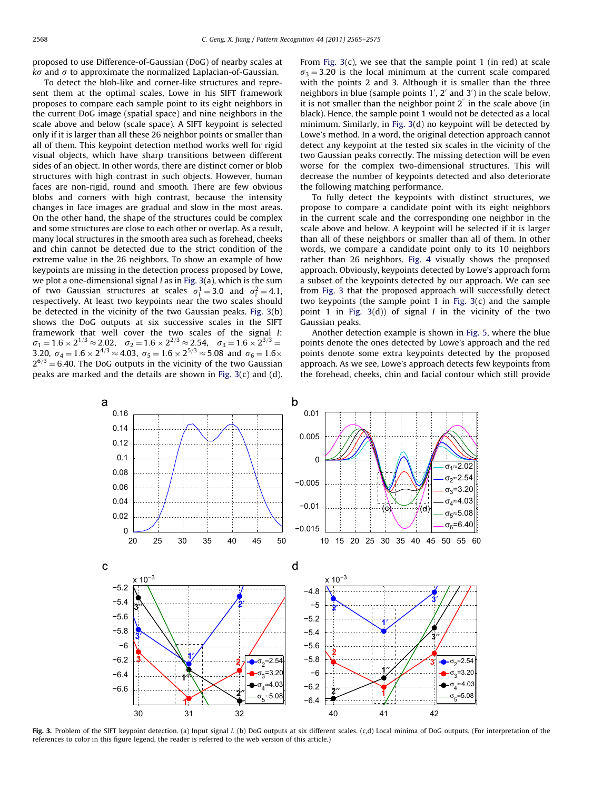proposed to use Difference-of-Gaussian (DoG) of nearby scales at  $k\sigma$  and  $\sigma$  to approximate the normalized Laplacian-of-Gaussian.

To detect the blob-like and corner-like structures and represent them at the optimal scales, Lowe in his SIFT framework proposes to compare each sample point to its eight neighbors in the current DoG image (spatial space) and nine neighbors in the scale above and below (scale space). A SIFT keypoint is selected only if it is larger than all these 26 neighbor points or smaller than all of them. This keypoint detection method works well for rigid visual objects, which have sharp transitions between different sides of an object. In other words, there are distinct corner or blob structures with high contrast in such objects. However, human faces are non-rigid, round and smooth. There are few obvious blobs and corners with high contrast, because the intensity changes in face images are gradual and slow in the most areas. On the other hand, the shape of the structures could be complex and some structures are close to each other or overlap. As a result, many local structures in the smooth area such as forehead, cheeks and chin cannot be detected due to the strict condition of the extreme value in the 26 neighbors. To show an example of how keypoints are missing in the detection process proposed by Lowe, we plot a one-dimensional signal I as in Fig. 3(a), which is the sum of two Gaussian structures at scales  $\sigma_i^1 = 3.0$  and  $\sigma_i^2 = 4.1$ , respectively. At least two keypoints near the two scales should be detected in the vicinity of the two Gaussian peaks. Fig. 3(b) shows the DoG outputs at six successive scales in the SIFT framework that well cover the two scales of the signal I:  $\sigma_1 = 1.6 \times 2^{1/3} \approx 2.02$ ,  $\sigma_2 = 1.6 \times 2^{2/3} \approx 2.54$ ,  $\sigma_3 = 1.6 \times 2^{3/3}$ 3.20,  $\sigma_4 = 1.6 \times 2^{4/3} \approx 4.03$ ,  $\sigma_5 = 1.6 \times 2^{5/3} \approx 5.08$  and  $\sigma_6 = 1.6 \times$  $2^{6/3}$  = 6.40. The DoG outputs in the vicinity of the two Gaussian peaks are marked and the details are shown in Fig. 3(c) and (d).

From Fig.  $3(c)$ , we see that the sample point 1 (in red) at scale  $\sigma_3$  = 3.20 is the local minimum at the current scale compared with the points 2 and 3. Although it is smaller than the three neighbors in blue (sample points 1', 2' and 3') in the scale below, it is not smaller than the neighbor point  $2^{n}$  in the scale above (in black). Hence, the sample point 1 would not be detected as a local minimum. Similarly, in Fig. 3(d) no keypoint will be detected by Lowe's method. In a word, the original detection approach cannot detect any keypoint at the tested six scales in the vicinity of the two Gaussian peaks correctly. The missing detection will be even worse for the complex two-dimensional structures. This will decrease the number of keypoints detected and also deteriorate the following matching performance.

To fully detect the keypoints with distinct structures, we propose to compare a candidate point with its eight neighbors in the current scale and the corresponding one neighbor in the scale above and below. A keypoint will be selected if it is larger than all of these neighbors or smaller than all of them. In other words, we compare a candidate point only to its 10 neighbors rather than 26 neighbors. [Fig. 4](#page-4-0) visually shows the proposed approach. Obviously, keypoints detected by Lowe's approach form a subset of the keypoints detected by our approach. We can see from Fig. 3 that the proposed approach will successfully detect two keypoints (the sample point  $1$  in Fig.  $3(c)$  and the sample point 1 in Fig.  $3(d)$ ) of signal *I* in the vicinity of the two Gaussian peaks.

Another detection example is shown in [Fig. 5](#page-4-0), where the blue points denote the ones detected by Lowe's approach and the red points denote some extra keypoints detected by the proposed approach. As we see, Lowe's approach detects few keypoints from the forehead, cheeks, chin and facial contour which still provide



Fig. 3. Problem of the SIFT keypoint detection. (a) Input signal I. (b) DoG outputs at six different scales. (c,d) Local minima of DoG outputs. (For interpretation of the references to color in this figure legend, the reader is referred to the web version of this article.)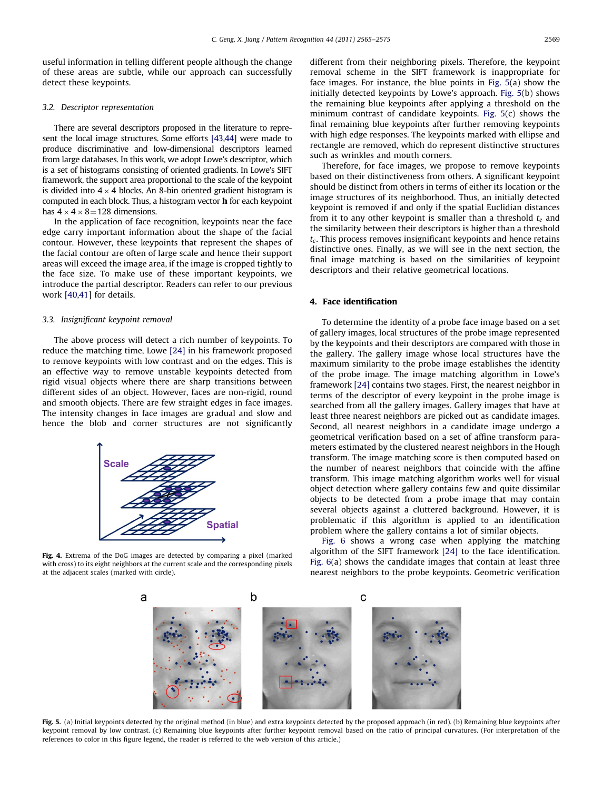<span id="page-4-0"></span>useful information in telling different people although the change of these areas are subtle, while our approach can successfully detect these keypoints.

### 3.2. Descriptor representation

There are several descriptors proposed in the literature to represent the local image structures. Some efforts [\[43,44\]](#page-10-0) were made to produce discriminative and low-dimensional descriptors learned from large databases. In this work, we adopt Lowe's descriptor, which is a set of histograms consisting of oriented gradients. In Lowe's SIFT framework, the support area proportional to the scale of the keypoint is divided into  $4 \times 4$  blocks. An 8-bin oriented gradient histogram is computed in each block. Thus, a histogram vector h for each keypoint has  $4 \times 4 \times 8 = 128$  dimensions.

In the application of face recognition, keypoints near the face edge carry important information about the shape of the facial contour. However, these keypoints that represent the shapes of the facial contour are often of large scale and hence their support areas will exceed the image area, if the image is cropped tightly to the face size. To make use of these important keypoints, we introduce the partial descriptor. Readers can refer to our previous work [\[40,41](#page-10-0)] for details.

# 3.3. Insignificant keypoint removal

The above process will detect a rich number of keypoints. To reduce the matching time, Lowe [\[24\]](#page-10-0) in his framework proposed to remove keypoints with low contrast and on the edges. This is an effective way to remove unstable keypoints detected from rigid visual objects where there are sharp transitions between different sides of an object. However, faces are non-rigid, round and smooth objects. There are few straight edges in face images. The intensity changes in face images are gradual and slow and hence the blob and corner structures are not significantly



Fig. 4. Extrema of the DoG images are detected by comparing a pixel (marked with cross) to its eight neighbors at the current scale and the corresponding pixels at the adjacent scales (marked with circle).

different from their neighboring pixels. Therefore, the keypoint removal scheme in the SIFT framework is inappropriate for face images. For instance, the blue points in Fig. 5(a) show the initially detected keypoints by Lowe's approach. Fig. 5(b) shows the remaining blue keypoints after applying a threshold on the minimum contrast of candidate keypoints. Fig. 5(c) shows the final remaining blue keypoints after further removing keypoints with high edge responses. The keypoints marked with ellipse and rectangle are removed, which do represent distinctive structures such as wrinkles and mouth corners.

Therefore, for face images, we propose to remove keypoints based on their distinctiveness from others. A significant keypoint should be distinct from others in terms of either its location or the image structures of its neighborhood. Thus, an initially detected keypoint is removed if and only if the spatial Euclidian distances from it to any other keypoint is smaller than a threshold  $t<sub>e</sub>$  and the similarity between their descriptors is higher than a threshold  $t_c$ . This process removes insignificant keypoints and hence retains distinctive ones. Finally, as we will see in the next section, the final image matching is based on the similarities of keypoint descriptors and their relative geometrical locations.

# 4. Face identification

To determine the identity of a probe face image based on a set of gallery images, local structures of the probe image represented by the keypoints and their descriptors are compared with those in the gallery. The gallery image whose local structures have the maximum similarity to the probe image establishes the identity of the probe image. The image matching algorithm in Lowe's framework [\[24\]](#page-10-0) contains two stages. First, the nearest neighbor in terms of the descriptor of every keypoint in the probe image is searched from all the gallery images. Gallery images that have at least three nearest neighbors are picked out as candidate images. Second, all nearest neighbors in a candidate image undergo a geometrical verification based on a set of affine transform parameters estimated by the clustered nearest neighbors in the Hough transform. The image matching score is then computed based on the number of nearest neighbors that coincide with the affine transform. This image matching algorithm works well for visual object detection where gallery contains few and quite dissimilar objects to be detected from a probe image that may contain several objects against a cluttered background. However, it is problematic if this algorithm is applied to an identification problem where the gallery contains a lot of similar objects.

[Fig. 6](#page-5-0) shows a wrong case when applying the matching algorithm of the SIFT framework [\[24\]](#page-10-0) to the face identification. [Fig. 6\(](#page-5-0)a) shows the candidate images that contain at least three nearest neighbors to the probe keypoints. Geometric verification



Fig. 5. (a) Initial keypoints detected by the original method (in blue) and extra keypoints detected by the proposed approach (in red). (b) Remaining blue keypoints after keypoint removal by low contrast. (c) Remaining blue keypoints after further keypoint removal based on the ratio of principal curvatures. (For interpretation of the references to color in this figure legend, the reader is referred to the web version of this article.)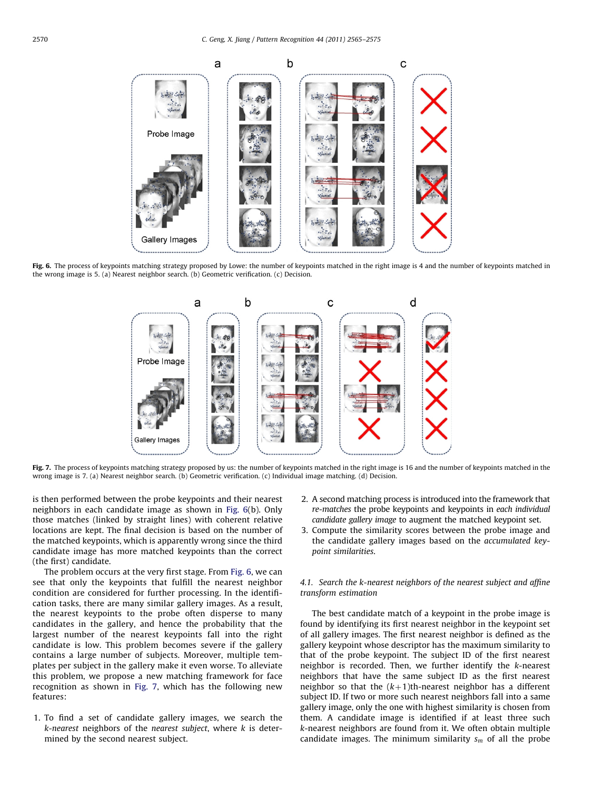<span id="page-5-0"></span>

Fig. 6. The process of keypoints matching strategy proposed by Lowe: the number of keypoints matched in the right image is 4 and the number of keypoints matched in the wrong image is 5. (a) Nearest neighbor search. (b) Geometric verification. (c) Decision.



Fig. 7. The process of keypoints matching strategy proposed by us: the number of keypoints matched in the right image is 16 and the number of keypoints matched in the wrong image is 7. (a) Nearest neighbor search. (b) Geometric verification. (c) Individual image matching. (d) Decision.

is then performed between the probe keypoints and their nearest neighbors in each candidate image as shown in Fig. 6(b). Only those matches (linked by straight lines) with coherent relative locations are kept. The final decision is based on the number of the matched keypoints, which is apparently wrong since the third candidate image has more matched keypoints than the correct (the first) candidate.

The problem occurs at the very first stage. From Fig. 6, we can see that only the keypoints that fulfill the nearest neighbor condition are considered for further processing. In the identification tasks, there are many similar gallery images. As a result, the nearest keypoints to the probe often disperse to many candidates in the gallery, and hence the probability that the largest number of the nearest keypoints fall into the right candidate is low. This problem becomes severe if the gallery contains a large number of subjects. Moreover, multiple templates per subject in the gallery make it even worse. To alleviate this problem, we propose a new matching framework for face recognition as shown in Fig. 7, which has the following new features:

1. To find a set of candidate gallery images, we search the  $k$ -nearest neighbors of the nearest subject, where  $k$  is determined by the second nearest subject.

- 2. A second matching process is introduced into the framework that re-matches the probe keypoints and keypoints in each individual candidate gallery image to augment the matched keypoint set.
- 3. Compute the similarity scores between the probe image and the candidate gallery images based on the accumulated keypoint similarities.

# 4.1. Search the k-nearest neighbors of the nearest subject and affine transform estimation

The best candidate match of a keypoint in the probe image is found by identifying its first nearest neighbor in the keypoint set of all gallery images. The first nearest neighbor is defined as the gallery keypoint whose descriptor has the maximum similarity to that of the probe keypoint. The subject ID of the first nearest neighbor is recorded. Then, we further identify the k-nearest neighbors that have the same subject ID as the first nearest neighbor so that the  $(k+1)$ th-nearest neighbor has a different subject ID. If two or more such nearest neighbors fall into a same gallery image, only the one with highest similarity is chosen from them. A candidate image is identified if at least three such k-nearest neighbors are found from it. We often obtain multiple candidate images. The minimum similarity  $s_m$  of all the probe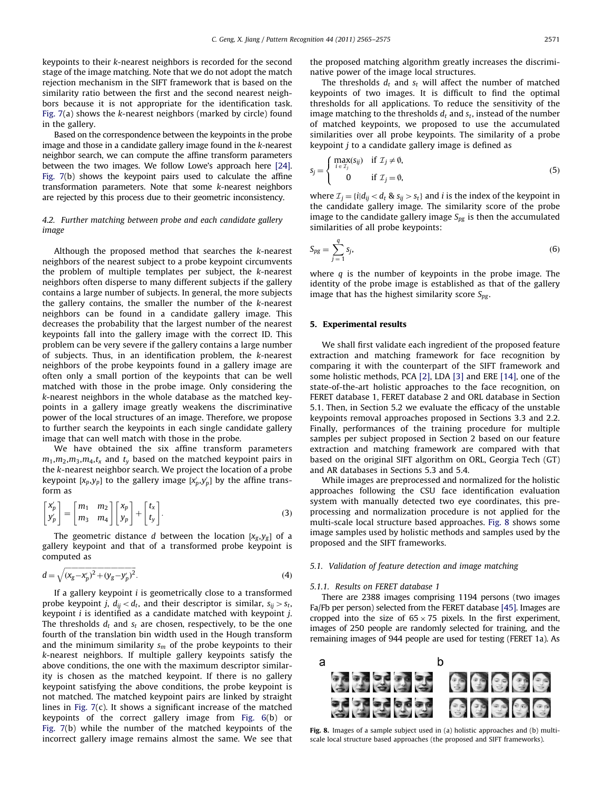keypoints to their k-nearest neighbors is recorded for the second stage of the image matching. Note that we do not adopt the match rejection mechanism in the SIFT framework that is based on the similarity ratio between the first and the second nearest neighbors because it is not appropriate for the identification task. [Fig. 7](#page-5-0)(a) shows the k-nearest neighbors (marked by circle) found in the gallery.

Based on the correspondence between the keypoints in the probe image and those in a candidate gallery image found in the k-nearest neighbor search, we can compute the affine transform parameters between the two images. We follow Lowe's approach here [\[24\].](#page-10-0) [Fig. 7\(](#page-5-0)b) shows the keypoint pairs used to calculate the affine transformation parameters. Note that some k-nearest neighbors are rejected by this process due to their geometric inconsistency.

# 4.2. Further matching between probe and each candidate gallery image

Although the proposed method that searches the k-nearest neighbors of the nearest subject to a probe keypoint circumvents the problem of multiple templates per subject, the k-nearest neighbors often disperse to many different subjects if the gallery contains a large number of subjects. In general, the more subjects the gallery contains, the smaller the number of the k-nearest neighbors can be found in a candidate gallery image. This decreases the probability that the largest number of the nearest keypoints fall into the gallery image with the correct ID. This problem can be very severe if the gallery contains a large number of subjects. Thus, in an identification problem, the k-nearest neighbors of the probe keypoints found in a gallery image are often only a small portion of the keypoints that can be well matched with those in the probe image. Only considering the k-nearest neighbors in the whole database as the matched keypoints in a gallery image greatly weakens the discriminative power of the local structures of an image. Therefore, we propose to further search the keypoints in each single candidate gallery image that can well match with those in the probe.

We have obtained the six affine transform parameters  $m_1, m_2, m_3, m_4, t_x$  and  $t_y$  based on the matched keypoint pairs in the k-nearest neighbor search. We project the location of a probe keypoint  $[x_p,y_p]$  to the gallery image  $[x'_p,y'_p]$  by the affine transform as

$$
\begin{bmatrix} x'_p \\ y'_p \end{bmatrix} = \begin{bmatrix} m_1 & m_2 \\ m_3 & m_4 \end{bmatrix} \begin{bmatrix} x_p \\ y_p \end{bmatrix} + \begin{bmatrix} t_x \\ t_y \end{bmatrix}.
$$
 (3)

The geometric distance d between the location  $[x_g, y_g]$  of a gallery keypoint and that of a transformed probe keypoint is computed as

$$
d = \sqrt{(x_g - x'_p)^2 + (y_g - y'_p)^2}.
$$
\n(4)

If a gallery keypoint  $i$  is geometrically close to a transformed probe keypoint j,  $d_{ij} < d_t$ , and their descriptor is similar,  $s_{ij} > s_t$ , keypoint  $i$  is identified as a candidate matched with keypoint  $j$ . The thresholds  $d_t$  and  $s_t$  are chosen, respectively, to be the one fourth of the translation bin width used in the Hough transform and the minimum similarity  $s_m$  of the probe keypoints to their k-nearest neighbors. If multiple gallery keypoints satisfy the above conditions, the one with the maximum descriptor similarity is chosen as the matched keypoint. If there is no gallery keypoint satisfying the above conditions, the probe keypoint is not matched. The matched keypoint pairs are linked by straight lines in [Fig. 7](#page-5-0)(c). It shows a significant increase of the matched keypoints of the correct gallery image from [Fig. 6\(](#page-5-0)b) or [Fig. 7](#page-5-0)(b) while the number of the matched keypoints of the incorrect gallery image remains almost the same. We see that the proposed matching algorithm greatly increases the discriminative power of the image local structures.

The thresholds  $d_t$  and  $s_t$  will affect the number of matched keypoints of two images. It is difficult to find the optimal thresholds for all applications. To reduce the sensitivity of the image matching to the thresholds  $d_t$  and  $s_t$ , instead of the number of matched keypoints, we proposed to use the accumulated similarities over all probe keypoints. The similarity of a probe keypoint  $j$  to a candidate gallery image is defined as

$$
S_j = \begin{cases} \max_{i \in \mathcal{I}_j} (S_{ij}) & \text{if } \mathcal{I}_j \neq \emptyset, \\ 0 & \text{if } \mathcal{I}_j = \emptyset, \end{cases}
$$
 (5)

where  $\mathcal{I}_j = \{i | d_{ij} < d_t \otimes s_{ij} > s_t\}$  and *i* is the index of the keypoint in the candidate gallery image. The similarity score of the probe image to the candidate gallery image  $S_{pg}$  is then the accumulated similarities of all probe keypoints:

$$
S_{pg} = \sum_{j=1}^{q} s_j,\tag{6}
$$

where  $q$  is the number of keypoints in the probe image. The identity of the probe image is established as that of the gallery image that has the highest similarity score  $S_{pg}$ .

# 5. Experimental results

We shall first validate each ingredient of the proposed feature extraction and matching framework for face recognition by comparing it with the counterpart of the SIFT framework and some holistic methods, PCA [\[2\]](#page-9-0), LDA [\[3\]](#page-9-0) and ERE [\[14\],](#page-9-0) one of the state-of-the-art holistic approaches to the face recognition, on FERET database 1, FERET database 2 and ORL database in Section 5.1. Then, in Section 5.2 we evaluate the efficacy of the unstable keypoints removal approaches proposed in Sections 3.3 and 2.2. Finally, performances of the training procedure for multiple samples per subject proposed in Section 2 based on our feature extraction and matching framework are compared with that based on the original SIFT algorithm on ORL, Georgia Tech (GT) and AR databases in Sections 5.3 and 5.4.

While images are preprocessed and normalized for the holistic approaches following the CSU face identification evaluation system with manually detected two eye coordinates, this preprocessing and normalization procedure is not applied for the multi-scale local structure based approaches. Fig. 8 shows some image samples used by holistic methods and samples used by the proposed and the SIFT frameworks.

# 5.1. Validation of feature detection and image matching

# 5.1.1. Results on FERET database 1

There are 2388 images comprising 1194 persons (two images Fa/Fb per person) selected from the FERET database [\[45\].](#page-10-0) Images are cropped into the size of  $65 \times 75$  pixels. In the first experiment, images of 250 people are randomly selected for training, and the remaining images of 944 people are used for testing (FERET 1a). As



Fig. 8. Images of a sample subject used in (a) holistic approaches and (b) multiscale local structure based approaches (the proposed and SIFT frameworks).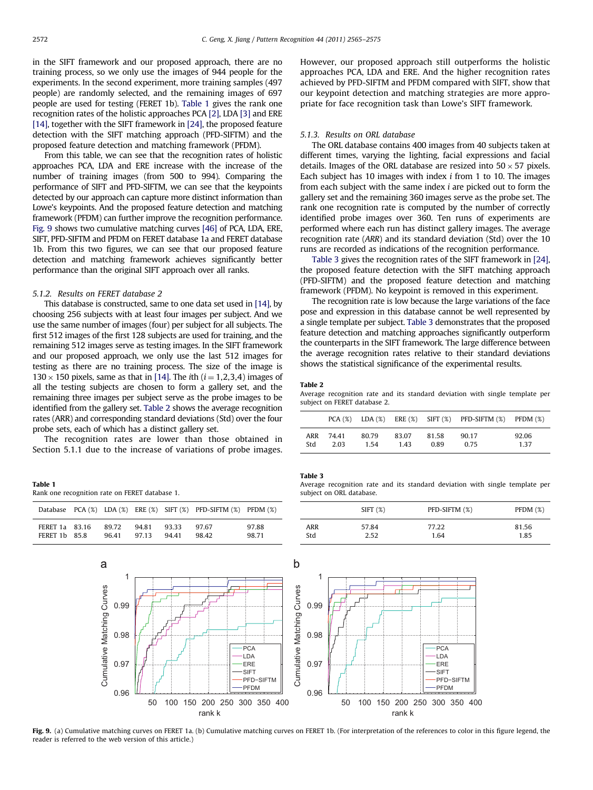in the SIFT framework and our proposed approach, there are no training process, so we only use the images of 944 people for the experiments. In the second experiment, more training samples (497 people) are randomly selected, and the remaining images of 697 people are used for testing (FERET 1b). Table 1 gives the rank one recognition rates of the holistic approaches PCA [\[2\]](#page-9-0), LDA [\[3\]](#page-9-0) and ERE [\[14\],](#page-9-0) together with the SIFT framework in [\[24\]](#page-10-0), the proposed feature detection with the SIFT matching approach (PFD-SIFTM) and the proposed feature detection and matching framework (PFDM).

From this table, we can see that the recognition rates of holistic approaches PCA, LDA and ERE increase with the increase of the number of training images (from 500 to 994). Comparing the performance of SIFT and PFD-SIFTM, we can see that the keypoints detected by our approach can capture more distinct information than Lowe's keypoints. And the proposed feature detection and matching framework (PFDM) can further improve the recognition performance. Fig. 9 shows two cumulative matching curves [\[46\]](#page-10-0) of PCA, LDA, ERE, SIFT, PFD-SIFTM and PFDM on FERET database 1a and FERET database 1b. From this two figures, we can see that our proposed feature detection and matching framework achieves significantly better performance than the original SIFT approach over all ranks.

### 5.1.2. Results on FERET database 2

This database is constructed, same to one data set used in [\[14\],](#page-9-0) by choosing 256 subjects with at least four images per subject. And we use the same number of images (four) per subject for all subjects. The first 512 images of the first 128 subjects are used for training, and the remaining 512 images serve as testing images. In the SIFT framework and our proposed approach, we only use the last 512 images for testing as there are no training process. The size of the image is  $130 \times 150$  pixels, same as that in [\[14\].](#page-9-0) The *i*th (*i* = 1,2,3,4) images of all the testing subjects are chosen to form a gallery set, and the remaining three images per subject serve as the probe images to be identified from the gallery set. Table 2 shows the average recognition rates (ARR) and corresponding standard deviations (Std) over the four probe sets, each of which has a distinct gallery set.

The recognition rates are lower than those obtained in Section 5.1.1 due to the increase of variations of probe images.

| Table 1 |                                                |  |  |
|---------|------------------------------------------------|--|--|
|         | Rank one recognition rate on FERET database 1. |  |  |

|                                |                |               |               | Database PCA $(\%)$ LDA $(\%)$ ERE $(\%)$ SIFT $(\%)$ PFD-SIFTM $(\%)$ PFDM $(\%)$ |                |
|--------------------------------|----------------|---------------|---------------|------------------------------------------------------------------------------------|----------------|
| FERET 1a 83.16<br>FERET 1b 858 | 89.72<br>96.41 | 9481<br>97.13 | 9333<br>94.41 | 97.67<br>98.42                                                                     | 97.88<br>98.71 |

However, our proposed approach still outperforms the holistic approaches PCA, LDA and ERE. And the higher recognition rates achieved by PFD-SIFTM and PFDM compared with SIFT, show that our keypoint detection and matching strategies are more appropriate for face recognition task than Lowe's SIFT framework.

# 5.1.3. Results on ORL database

The ORL database contains 400 images from 40 subjects taken at different times, varying the lighting, facial expressions and facial details. Images of the ORL database are resized into  $50 \times 57$  pixels. Each subject has 10 images with index i from 1 to 10. The images from each subject with the same index i are picked out to form the gallery set and the remaining 360 images serve as the probe set. The rank one recognition rate is computed by the number of correctly identified probe images over 360. Ten runs of experiments are performed where each run has distinct gallery images. The average recognition rate (ARR) and its standard deviation (Std) over the 10 runs are recorded as indications of the recognition performance.

Table 3 gives the recognition rates of the SIFT framework in [\[24\],](#page-10-0) the proposed feature detection with the SIFT matching approach (PFD-SIFTM) and the proposed feature detection and matching framework (PFDM). No keypoint is removed in this experiment.

The recognition rate is low because the large variations of the face pose and expression in this database cannot be well represented by a single template per subject. Table 3 demonstrates that the proposed feature detection and matching approaches significantly outperform the counterparts in the SIFT framework. The large difference between the average recognition rates relative to their standard deviations shows the statistical significance of the experimental results.

#### Table 2

Average recognition rate and its standard deviation with single template per subject on FERET database 2.

|     |       |       |       |       | $PCA(X)$ LDA $(X)$ ERE $(X)$ SIFT $(X)$ PFD-SIFTM $(X)$ PFDM $(X)$ |       |
|-----|-------|-------|-------|-------|--------------------------------------------------------------------|-------|
| ARR | 74.41 | 80.79 | 83.07 | 81.58 | 90.17                                                              | 92.06 |
| Std | 2.03  | 1.54  | 1.43  | 0.89  | 0.75                                                               | 1.37  |

#### Table 3

Average recognition rate and its standard deviation with single template per subject on ORL database.

|     | SIFT(%) | PFD-SIFTM (%) | PFDM $(\%)$ |
|-----|---------|---------------|-------------|
| ARR | 57.84   | 77.22         | 81.56       |
| Std | 2.52    | 1.64          | 1.85        |



Fig. 9. (a) Cumulative matching curves on FERET 1a. (b) Cumulative matching curves on FERET 1b. (For interpretation of the references to color in this figure legend, the reader is referred to the web version of this article.)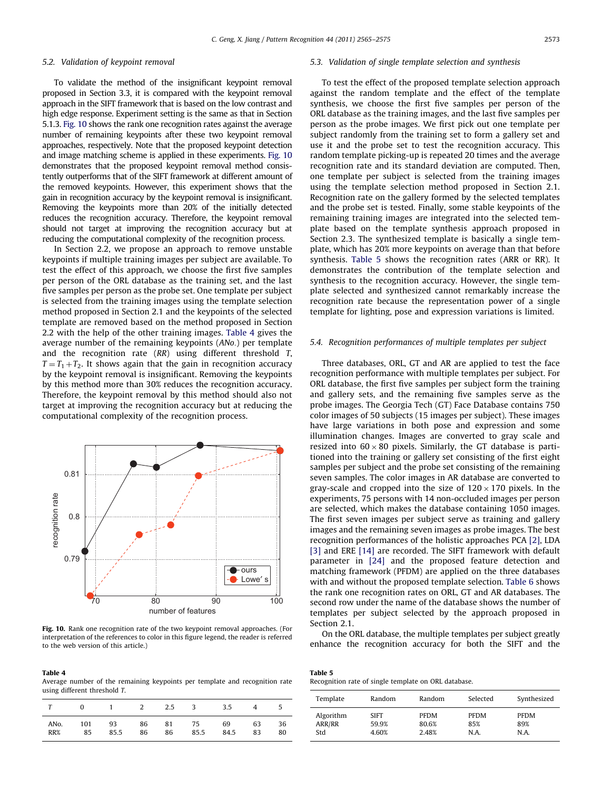# 5.2. Validation of keypoint removal

To validate the method of the insignificant keypoint removal proposed in Section 3.3, it is compared with the keypoint removal approach in the SIFT framework that is based on the low contrast and high edge response. Experiment setting is the same as that in Section 5.1.3. Fig. 10 shows the rank one recognition rates against the average number of remaining keypoints after these two keypoint removal approaches, respectively. Note that the proposed keypoint detection and image matching scheme is applied in these experiments. Fig. 10 demonstrates that the proposed keypoint removal method consistently outperforms that of the SIFT framework at different amount of the removed keypoints. However, this experiment shows that the gain in recognition accuracy by the keypoint removal is insignificant. Removing the keypoints more than 20% of the initially detected reduces the recognition accuracy. Therefore, the keypoint removal should not target at improving the recognition accuracy but at reducing the computational complexity of the recognition process.

In Section 2.2, we propose an approach to remove unstable keypoints if multiple training images per subject are available. To test the effect of this approach, we choose the first five samples per person of the ORL database as the training set, and the last five samples per person as the probe set. One template per subject is selected from the training images using the template selection method proposed in Section 2.1 and the keypoints of the selected template are removed based on the method proposed in Section 2.2 with the help of the other training images. Table 4 gives the average number of the remaining keypoints (ANo.) per template and the recognition rate (RR) using different threshold T,  $T = T_1 + T_2$ . It shows again that the gain in recognition accuracy by the keypoint removal is insignificant. Removing the keypoints by this method more than 30% reduces the recognition accuracy. Therefore, the keypoint removal by this method should also not target at improving the recognition accuracy but at reducing the computational complexity of the recognition process.



Fig. 10. Rank one recognition rate of the two keypoint removal approaches. (For interpretation of the references to color in this figure legend, the reader is referred to the web version of this article.)

Table 4 Average number of the remaining keypoints per template and recognition rate using different threshold T.

|                   | $\Omega$ | $1 \qquad \qquad 2$ |       | 2.5 | 3 3.5 |      |    | C. |
|-------------------|----------|---------------------|-------|-----|-------|------|----|----|
| AN <sub>o</sub> . | 101      | 93                  | 86 81 | 86  | 75    | 69   | 63 | 36 |
| RR%               | 85       | 85.5                | 86    |     | 85.5  | 84.5 | 83 | 80 |

### 5.3. Validation of single template selection and synthesis

To test the effect of the proposed template selection approach against the random template and the effect of the template synthesis, we choose the first five samples per person of the ORL database as the training images, and the last five samples per person as the probe images. We first pick out one template per subject randomly from the training set to form a gallery set and use it and the probe set to test the recognition accuracy. This random template picking-up is repeated 20 times and the average recognition rate and its standard deviation are computed. Then, one template per subject is selected from the training images using the template selection method proposed in Section 2.1. Recognition rate on the gallery formed by the selected templates and the probe set is tested. Finally, some stable keypoints of the remaining training images are integrated into the selected template based on the template synthesis approach proposed in Section 2.3. The synthesized template is basically a single template, which has 20% more keypoints on average than that before synthesis. Table 5 shows the recognition rates (ARR or RR). It demonstrates the contribution of the template selection and synthesis to the recognition accuracy. However, the single template selected and synthesized cannot remarkably increase the recognition rate because the representation power of a single template for lighting, pose and expression variations is limited.

# 5.4. Recognition performances of multiple templates per subject

Three databases, ORL, GT and AR are applied to test the face recognition performance with multiple templates per subject. For ORL database, the first five samples per subject form the training and gallery sets, and the remaining five samples serve as the probe images. The Georgia Tech (GT) Face Database contains 750 color images of 50 subjects (15 images per subject). These images have large variations in both pose and expression and some illumination changes. Images are converted to gray scale and resized into  $60 \times 80$  pixels. Similarly, the GT database is partitioned into the training or gallery set consisting of the first eight samples per subject and the probe set consisting of the remaining seven samples. The color images in AR database are converted to gray-scale and cropped into the size of  $120 \times 170$  pixels. In the experiments, 75 persons with 14 non-occluded images per person are selected, which makes the database containing 1050 images. The first seven images per subject serve as training and gallery images and the remaining seven images as probe images. The best recognition performances of the holistic approaches PCA [\[2\],](#page-9-0) LDA [\[3\]](#page-9-0) and ERE [\[14\]](#page-9-0) are recorded. The SIFT framework with default parameter in [\[24\]](#page-10-0) and the proposed feature detection and matching framework (PFDM) are applied on the three databases with and without the proposed template selection. [Table 6](#page-9-0) shows the rank one recognition rates on ORL, GT and AR databases. The second row under the name of the database shows the number of templates per subject selected by the approach proposed in Section 2.1.

On the ORL database, the multiple templates per subject greatly enhance the recognition accuracy for both the SIFT and the

Table 5 Recognition rate of single template on ORL database.

| Template  | Random | Random      | Selected    | Synthesized |
|-----------|--------|-------------|-------------|-------------|
| Algorithm | SIFT   | <b>PFDM</b> | <b>PFDM</b> | <b>PFDM</b> |
| ARR/RR    | 59.9%  | 80.6%       | 85%         | 89%         |
| Std       | 4.60%  | 2.48%       | N.A.        | N.A.        |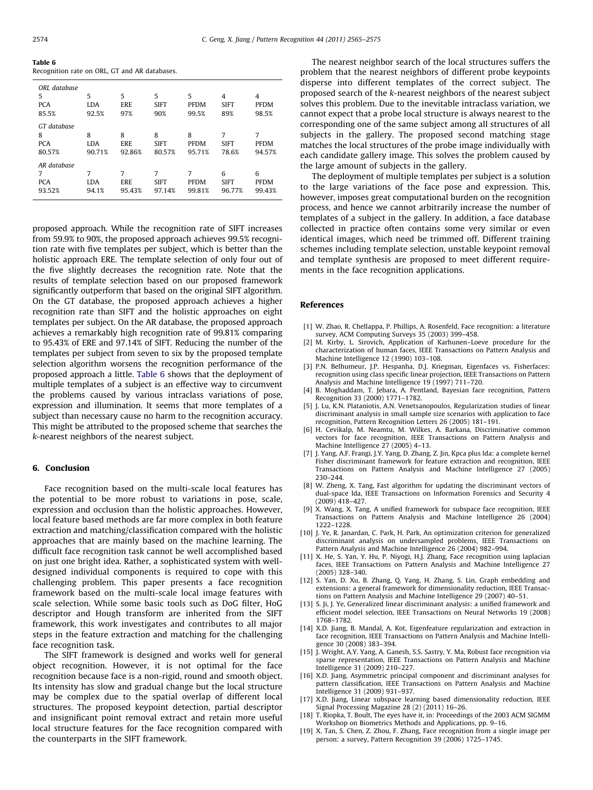<span id="page-9-0"></span>Table 6 Recognition rate on ORL, GT and AR databases.

| ORL database<br>5<br><b>PCA</b><br>85.5% | 5<br><b>LDA</b><br>92.5%  | 5<br>ERE<br>97%    | 5<br><b>SIFT</b><br>90%    | 5<br><b>PFDM</b><br>99.5%  | 4<br><b>SIFT</b><br>89%    | 4<br><b>PFDM</b><br>98.5%  |
|------------------------------------------|---------------------------|--------------------|----------------------------|----------------------------|----------------------------|----------------------------|
| GT database<br>8<br><b>PCA</b><br>80.57% | 8<br><b>LDA</b><br>90.71% | 8<br>ERE<br>92.86% | 8<br><b>SIFT</b><br>80.57% | 8<br><b>PFDM</b><br>95.71% | 7<br><b>SIFT</b><br>78.6%  | 7<br><b>PFDM</b><br>94.57% |
| AR database<br>7<br><b>PCA</b><br>93.52% | 7<br><b>LDA</b><br>94.1%  | 7<br>ERE<br>95.43% | 7<br><b>SIFT</b><br>97.14% | 7<br><b>PFDM</b><br>99.81% | 6<br><b>SIFT</b><br>96.77% | 6<br><b>PFDM</b><br>99.43% |

proposed approach. While the recognition rate of SIFT increases from 59.9% to 90%, the proposed approach achieves 99.5% recognition rate with five templates per subject, which is better than the holistic approach ERE. The template selection of only four out of the five slightly decreases the recognition rate. Note that the results of template selection based on our proposed framework significantly outperform that based on the original SIFT algorithm. On the GT database, the proposed approach achieves a higher recognition rate than SIFT and the holistic approaches on eight templates per subject. On the AR database, the proposed approach achieves a remarkably high recognition rate of 99.81% comparing to 95.43% of ERE and 97.14% of SIFT. Reducing the number of the templates per subject from seven to six by the proposed template selection algorithm worsens the recognition performance of the proposed approach a little. Table 6 shows that the deployment of multiple templates of a subject is an effective way to circumvent the problems caused by various intraclass variations of pose, expression and illumination. It seems that more templates of a subject than necessary cause no harm to the recognition accuracy. This might be attributed to the proposed scheme that searches the k-nearest neighbors of the nearest subject.

## 6. Conclusion

Face recognition based on the multi-scale local features has the potential to be more robust to variations in pose, scale, expression and occlusion than the holistic approaches. However, local feature based methods are far more complex in both feature extraction and matching/classification compared with the holistic approaches that are mainly based on the machine learning. The difficult face recognition task cannot be well accomplished based on just one bright idea. Rather, a sophisticated system with welldesigned individual components is required to cope with this challenging problem. This paper presents a face recognition framework based on the multi-scale local image features with scale selection. While some basic tools such as DoG filter, HoG descriptor and Hough transform are inherited from the SIFT framework, this work investigates and contributes to all major steps in the feature extraction and matching for the challenging face recognition task.

The SIFT framework is designed and works well for general object recognition. However, it is not optimal for the face recognition because face is a non-rigid, round and smooth object. Its intensity has slow and gradual change but the local structure may be complex due to the spatial overlap of different local structures. The proposed keypoint detection, partial descriptor and insignificant point removal extract and retain more useful local structure features for the face recognition compared with the counterparts in the SIFT framework.

The nearest neighbor search of the local structures suffers the problem that the nearest neighbors of different probe keypoints disperse into different templates of the correct subject. The proposed search of the k-nearest neighbors of the nearest subject solves this problem. Due to the inevitable intraclass variation, we cannot expect that a probe local structure is always nearest to the corresponding one of the same subject among all structures of all subjects in the gallery. The proposed second matching stage matches the local structures of the probe image individually with each candidate gallery image. This solves the problem caused by the large amount of subjects in the gallery.

The deployment of multiple templates per subject is a solution to the large variations of the face pose and expression. This, however, imposes great computational burden on the recognition process, and hence we cannot arbitrarily increase the number of templates of a subject in the gallery. In addition, a face database collected in practice often contains some very similar or even identical images, which need be trimmed off. Different training schemes including template selection, unstable keypoint removal and template synthesis are proposed to meet different requirements in the face recognition applications.

### References

- [1] W. Zhao, R. Chellappa, P. Phillips, A. Rosenfeld, Face recognition: a literature survey, ACM Computing Surveys 35 (2003) 399–458.
- [2] M. Kirby, L. Sirovich, Application of Karhunen–Loeve procedure for the characterization of human faces, IEEE Transactions on Pattern Analysis and Machine Intelligence 12 (1990) 103–108.
- [3] P.N. Belhumeur, J.P. Hespanha, D.J. Kriegman, Eigenfaces vs. Fisherfaces: recognition using class specific linear projection, IEEE Transactions on Pattern Analysis and Machine Intelligence 19 (1997) 711–720.
- [4] B. Moghaddam, T. Jebara, A. Pentland, Bayesian face recognition, Pattern Recognition 33 (2000) 1771–1782.
- [5] J. Lu, K.N. Plataniotis, A.N. Venetsanopoulos, Regularization studies of linear discriminant analysis in small sample size scenarios with application to face recognition, Pattern Recognition Letters 26 (2005) 181–191.
- [6] H. Cevikalp, M. Neamtu, M. Wilkes, A. Barkana, Discriminative common vectors for face recognition, IEEE Transactions on Pattern Analysis and Machine Intelligence 27 (2005) 4–13.
- [7] J. Yang, A.F. Frangi, J.Y. Yang, D. Zhang, Z. Jin, Kpca plus lda: a complete kernel Fisher discriminant framework for feature extraction and recognition, IEEE Transactions on Pattern Analysis and Machine Intelligence 27 (2005) 230–244.
- [8] W. Zheng, X. Tang, Fast algorithm for updating the discriminant vectors of dual-space lda, IEEE Transactions on Information Forensics and Security 4 (2009) 418–427.
- [9] X. Wang, X. Tang, A unified framework for subspace face recognition, IEEE Transactions on Pattern Analysis and Machine Intelligence 26 (2004) 1222–1228.
- [10] J. Ye, R. Janardan, C. Park, H. Park, An optimization criterion for generalized discriminant analysis on undersampled problems, IEEE Transactions on Pattern Analysis and Machine Intelligence 26 (2004) 982–994.
- X. He, S. Yan, Y. Hu, P. Niyogi, H.J. Zhang, Face recognition using laplacian faces, IEEE Transactions on Pattern Analysis and Machine Intelligence 27 (2005) 328–340.
- [12] S. Yan, D. Xu, B. Zhang, Q. Yang, H. Zhang, S. Lin, Graph embedding and extensions: a general framework for dimensionality reduction, IEEE Transactions on Pattern Analysis and Machine Intelligence 29 (2007) 40–51.
- [13] S. Ji, J. Ye, Generalized linear discriminant analysis: a unified framework and efficient model selection, IEEE Transactions on Neural Networks 19 (2008) 1768–1782.
- [14] X.D. Jiang, B. Mandal, A. Kot, Eigenfeature regularization and extraction in face recognition, IEEE Transactions on Pattern Analysis and Machine Intelligence 30 (2008) 383–394.
- [15] J. Wright, A.Y. Yang, A. Ganesh, S.S. Sastry, Y. Ma, Robust face recognition via sparse representation, IEEE Transactions on Pattern Analysis and Machine Intelligence 31 (2009) 210–227.
- [16] X.D. Jiang, Asymmetric principal component and discriminant analyses for pattern classification, IEEE Transactions on Pattern Analysis and Machine Intelligence 31 (2009) 931–937.
- [17] X.D. Jiang, Linear subspace learning based dimensionality reduction, IEEE Signal Processing Magazine 28 (2) (2011) 16–26.
- [18] T. Riopka, T. Boult, The eyes have it, in: Proceedings of the 2003 ACM SIGMM Workshop on Biometrics Methods and Applications, pp. 9–16.
- [19] X. Tan, S. Chen, Z. Zhou, F. Zhang, Face recognition from a single image per person: a survey, Pattern Recognition 39 (2006) 1725–1745.